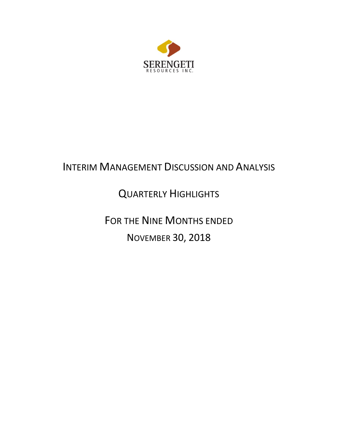

# INTERIM MANAGEMENT DISCUSSION AND ANALYSIS

# QUARTERLY HIGHLIGHTS

FOR THE NINE MONTHS ENDED NOVEMBER 30, 2018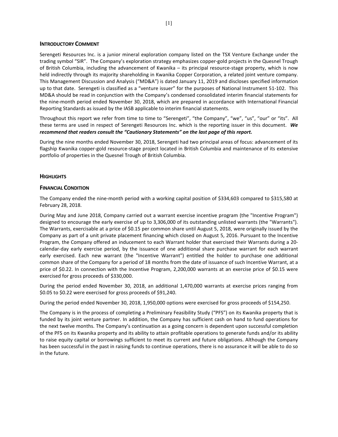### **INTRODUCTORY COMMENT**

Serengeti Resources Inc. is a junior mineral exploration company listed on the TSX Venture Exchange under the trading symbol "SIR". The Company's exploration strategy emphasizes copper-gold projects in the Quesnel Trough of British Columbia, including the advancement of Kwanika – its principal resource-stage property, which is now held indirectly through its majority shareholding in Kwanika Copper Corporation, a related joint venture company. This Management Discussion and Analysis ("MD&A") is dated January 11, 2019 and discloses specified information up to that date. Serengeti is classified as a "venture issuer" for the purposes of National Instrument 51-102. This MD&A should be read in conjunction with the Company's condensed consolidated interim financial statements for the nine-month period ended November 30, 2018, which are prepared in accordance with International Financial Reporting Standards as issued by the IASB applicable to interim financial statements.

Throughout this report we refer from time to time to "Serengeti", "the Company", "we", "us", "our" or "its". All these terms are used in respect of Serengeti Resources Inc. which is the reporting issuer in this document. *We recommend that readers consult the "Cautionary Statements" on the last page of this report.* 

During the nine months ended November 30, 2018, Serengeti had two principal areas of focus: advancement of its flagship Kwanika copper-gold resource-stage project located in British Columbia and maintenance of its extensive portfolio of properties in the Quesnel Trough of British Columbia.

# **HIGHLIGHTS**

## **FINANCIAL CONDITION**

The Company ended the nine-month period with a working capital position of \$334,603 compared to \$315,580 at February 28, 2018.

During May and June 2018, Company carried out a warrant exercise incentive program (the "Incentive Program") designed to encourage the early exercise of up to 3,306,000 of its outstanding unlisted warrants (the "Warrants"). The Warrants, exercisable at a price of \$0.15 per common share until August 5, 2018, were originally issued by the Company as part of a unit private placement financing which closed on August 5, 2016. Pursuant to the Incentive Program, the Company offered an inducement to each Warrant holder that exercised their Warrants during a 20 calendar-day early exercise period, by the issuance of one additional share purchase warrant for each warrant early exercised. Each new warrant (the "Incentive Warrant") entitled the holder to purchase one additional common share of the Company for a period of 18 months from the date of issuance of such Incentive Warrant, at a price of \$0.22. In connection with the Incentive Program, 2,200,000 warrants at an exercise price of \$0.15 were exercised for gross proceeds of \$330,000.

During the period ended November 30, 2018, an additional 1,470,000 warrants at exercise prices ranging from \$0.05 to \$0.22 were exercised for gross proceeds of \$91,240.

During the period ended November 30, 2018, 1,950,000 options were exercised for gross proceeds of \$154,250.

The Company is in the process of completing a Preliminary Feasibility Study ("PFS") on its Kwanika property that is funded by its joint venture partner. In addition, the Company has sufficient cash on hand to fund operations for the next twelve months. The Company's continuation as a going concern is dependent upon successful completion of the PFS on its Kwanika property and its ability to attain profitable operations to generate funds and/or its ability to raise equity capital or borrowings sufficient to meet its current and future obligations. Although the Company has been successful in the past in raising funds to continue operations, there is no assurance it will be able to do so in the future.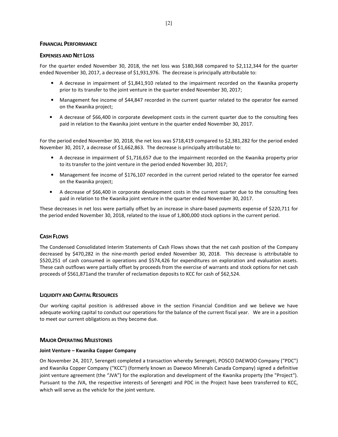### **FINANCIAL PERFORMANCE**

## **EXPENSES AND NET LOSS**

For the quarter ended November 30, 2018, the net loss was \$180,368 compared to \$2,112,344 for the quarter ended November 30, 2017, a decrease of \$1,931,976. The decrease is principally attributable to:

- A decrease in impairment of \$1,841,910 related to the impairment recorded on the Kwanika property prior to its transfer to the joint venture in the quarter ended November 30, 2017;
- Management fee income of \$44,847 recorded in the current quarter related to the operator fee earned on the Kwanika project;
- A decrease of \$66,400 in corporate development costs in the current quarter due to the consulting fees paid in relation to the Kwanika joint venture in the quarter ended November 30, 2017.

For the period ended November 30, 2018, the net loss was \$718,419 compared to \$2,381,282 for the period ended November 30, 2017, a decrease of \$1,662,863. The decrease is principally attributable to:

- A decrease in impairment of \$1,716,657 due to the impairment recorded on the Kwanika property prior to its transfer to the joint venture in the period ended November 30, 2017;
- Management fee income of \$176,107 recorded in the current period related to the operator fee earned on the Kwanika project;
- A decrease of \$66,400 in corporate development costs in the current quarter due to the consulting fees paid in relation to the Kwanika joint venture in the quarter ended November 30, 2017.

These decreases in net loss were partially offset by an increase in share-based payments expense of \$220,711 for the period ended November 30, 2018, related to the issue of 1,800,000 stock options in the current period.

# **CASH FLOWS**

The Condensed Consolidated Interim Statements of Cash Flows shows that the net cash position of the Company decreased by \$470,282 in the nine-month period ended November 30, 2018. This decrease is attributable to \$520,251 of cash consumed in operations and \$574,426 for expenditures on exploration and evaluation assets. These cash outflows were partially offset by proceeds from the exercise of warrants and stock options for net cash proceeds of \$561,871and the transfer of reclamation deposits to KCC for cash of \$62,524.

# **LIQUIDITY AND CAPITAL RESOURCES**

Our working capital position is addressed above in the section Financial Condition and we believe we have adequate working capital to conduct our operations for the balance of the current fiscal year. We are in a position to meet our current obligations as they become due.

# **MAJOR OPERATING MILESTONES**

### **Joint Venture – Kwanika Copper Company**

On November 24, 2017, Serengeti completed a transaction whereby Serengeti, POSCO DAEWOO Company ("PDC") and Kwanika Copper Company ("KCC") (formerly known as Daewoo Minerals Canada Company) signed a definitive joint venture agreement (the "JVA") for the exploration and development of the Kwanika property (the "Project"). Pursuant to the JVA, the respective interests of Serengeti and PDC in the Project have been transferred to KCC, which will serve as the vehicle for the joint venture.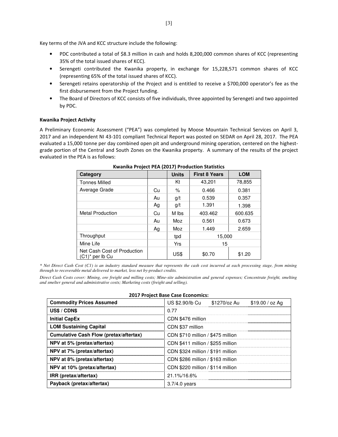Key terms of the JVA and KCC structure include the following:

- PDC contributed a total of \$8.3 million in cash and holds 8,200,000 common shares of KCC (representing 35% of the total issued shares of KCC).
- Serengeti contributed the Kwanika property, in exchange for 15,228,571 common shares of KCC (representing 65% of the total issued shares of KCC).
- Serengeti retains operatorship of the Project and is entitled to receive a \$700,000 operator's fee as the first disbursement from the Project funding.
- The Board of Directors of KCC consists of five individuals, three appointed by Serengeti and two appointed by PDC.

#### **Kwanika Project Activity**

A Preliminary Economic Assessment ("PEA") was completed by Moose Mountain Technical Services on April 3, 2017 and an independent NI 43-101 compliant Technical Report was posted on SEDAR on April 28, 2017. The PEA evaluated a 15,000 tonne per day combined open pit and underground mining operation, centered on the highestgrade portion of the Central and South Zones on the Kwanika property. A summary of the results of the project evaluated in the PEA is as follows:

| Category                                          |    | <b>Units</b> | <b>First 8 Years</b> | <b>LOM</b> |
|---------------------------------------------------|----|--------------|----------------------|------------|
| <b>Tonnes Milled</b>                              |    | Κt           | 43,201               | 78,855     |
| Average Grade                                     | Cu | ℅            | 0.466                | 0.381      |
|                                                   | Au | g/t          | 0.539                | 0.357      |
|                                                   | Ag | g/t          | 1.391                | 1.398      |
| <b>Metal Production</b>                           | Cu | M lbs        | 403.462              | 600.635    |
|                                                   | Au | Moz          | 0.561                | 0.673      |
|                                                   | Ag | Moz          | 1.449                | 2.659      |
| Throughput                                        |    | tpd          | 15,000               |            |
| Mine Life                                         |    | Yrs          | 15                   |            |
| Net Cash Cost of Production<br>$(C1)^*$ per lb Cu |    | US\$         | \$0.70               | \$1.20     |

**Kwanika Project PEA (2017) Production Statistics** 

*\* Net Direct Cash Cost (C1) is an industry standard measure that represents the cash cost incurred at each processing stage, from mining through to recoverable metal delivered to market, less net by-product credits.* 

*Direct Cash Costs cover: Mining, ore freight and milling costs; Mine-site administration and general expenses; Concentrate freight, smelting and smelter general and administrative costs; Marketing costs (freight and selling).* 

| ZUIT Project base case economics:             |                              |                                   |                 |  |  |  |  |  |
|-----------------------------------------------|------------------------------|-----------------------------------|-----------------|--|--|--|--|--|
| <b>Commodity Prices Assumed</b>               | US \$2.90/lb Cu \$1270/oz Au |                                   | \$19.00 / oz Ag |  |  |  |  |  |
| US\$ / CDN\$                                  | 0.77                         |                                   |                 |  |  |  |  |  |
| <b>Initial CapEx</b>                          | CDN \$476 million            |                                   |                 |  |  |  |  |  |
| <b>LOM Sustaining Capital</b>                 | CDN \$37 million             |                                   |                 |  |  |  |  |  |
| <b>Cumulative Cash Flow (pretax/aftertax)</b> |                              | CDN \$710 million / \$475 million |                 |  |  |  |  |  |
| NPV at 5% (pretax/aftertax)                   |                              | CDN \$411 million / \$255 million |                 |  |  |  |  |  |
| NPV at 7% (pretax/aftertax)                   |                              | CDN \$324 million / \$191 million |                 |  |  |  |  |  |
| NPV at 8% (pretax/aftertax)                   |                              | CDN \$286 million / \$163 million |                 |  |  |  |  |  |
| NPV at 10% (pretax/aftertax)                  |                              | CDN \$220 million / \$114 million |                 |  |  |  |  |  |
| IRR (pretax/aftertax)                         | 21.1%/16.6%                  |                                   |                 |  |  |  |  |  |
| Payback (pretax/aftertax)                     | $3.7/4.0$ years              |                                   |                 |  |  |  |  |  |

# **2017 Project Base Case Economics:**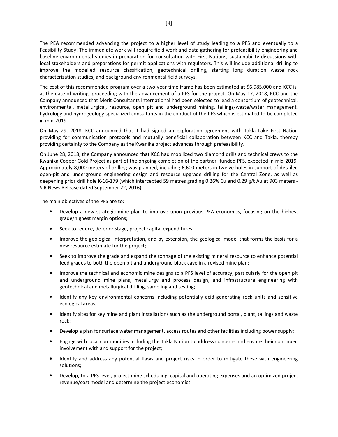The PEA recommended advancing the project to a higher level of study leading to a PFS and eventually to a Feasibility Study. The immediate work will require field work and data gathering for prefeasibility engineering and baseline environmental studies in preparation for consultation with First Nations, sustainability discussions with local stakeholders and preparations for permit applications with regulators. This will include additional drilling to improve the modelled resource classification, geotechnical drilling, starting long duration waste rock characterization studies, and background environmental field surveys.

The cost of this recommended program over a two-year time frame has been estimated at \$6,985,000 and KCC is, at the date of writing, proceeding with the advancement of a PFS for the project. On May 17, 2018, KCC and the Company announced that Merit Consultants International had been selected to lead a consortium of geotechnical, environmental, metallurgical, resource, open pit and underground mining, tailings/waste/water management, hydrology and hydrogeology specialized consultants in the conduct of the PFS which is estimated to be completed in mid-2019.

On May 29, 2018, KCC announced that it had signed an exploration agreement with Takla Lake First Nation providing for communication protocols and mutually beneficial collaboration between KCC and Takla, thereby providing certainty to the Company as the Kwanika project advances through prefeasibility.

On June 28, 2018, the Company announced that KCC had mobilized two diamond drills and technical crews to the Kwanika Copper Gold Project as part of the ongoing completion of the partner- funded PFS, expected in mid-2019. Approximately 8,000 meters of drilling was planned, including 6,600 meters in twelve holes in support of detailed open-pit and underground engineering design and resource upgrade drilling for the Central Zone, as well as deepening prior drill hole K-16-179 (which intercepted 59 metres grading 0.26% Cu and 0.29 g/t Au at 903 meters - SIR News Release dated September 22, 2016).

The main objectives of the PFS are to:

- Develop a new strategic mine plan to improve upon previous PEA economics, focusing on the highest grade/highest margin options;
- Seek to reduce, defer or stage, project capital expenditures;
- Improve the geological interpretation, and by extension, the geological model that forms the basis for a new resource estimate for the project;
- Seek to improve the grade and expand the tonnage of the existing mineral resource to enhance potential feed grades to both the open pit and underground block cave in a revised mine plan;
- Improve the technical and economic mine designs to a PFS level of accuracy, particularly for the open pit and underground mine plans, metallurgy and process design, and infrastructure engineering with geotechnical and metallurgical drilling, sampling and testing;
- Identify any key environmental concerns including potentially acid generating rock units and sensitive ecological areas;
- Identify sites for key mine and plant installations such as the underground portal, plant, tailings and waste rock;
- Develop a plan for surface water management, access routes and other facilities including power supply;
- Engage with local communities including the Takla Nation to address concerns and ensure their continued involvement with and support for the project;
- Identify and address any potential flaws and project risks in order to mitigate these with engineering solutions;
- Develop, to a PFS level, project mine scheduling, capital and operating expenses and an optimized project revenue/cost model and determine the project economics.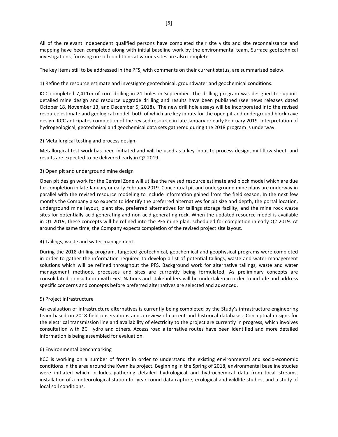All of the relevant independent qualified persons have completed their site visits and site reconnaissance and mapping have been completed along with initial baseline work by the environmental team. Surface geotechnical investigations, focusing on soil conditions at various sites are also complete.

The key items still to be addressed in the PFS, with comments on their current status, are summarized below.

## 1) Refine the resource estimate and investigate geotechnical, groundwater and geochemical conditions.

KCC completed 7,411m of core drilling in 21 holes in September. The drilling program was designed to support detailed mine design and resource upgrade drilling and results have been published (see news releases dated October 18, November 13, and December 5, 2018). The new drill hole assays will be incorporated into the revised resource estimate and geological model, both of which are key inputs for the open pit and underground block cave design. KCC anticipates completion of the revised resource in late January or early February 2019. Interpretation of hydrogeological, geotechnical and geochemical data sets gathered during the 2018 program is underway.

## 2) Metallurgical testing and process design.

Metallurgical test work has been initiated and will be used as a key input to process design, mill flow sheet, and results are expected to be delivered early in Q2 2019.

## 3) Open pit and underground mine design

Open pit design work for the Central Zone will utilise the revised resource estimate and block model which are due for completion in late January or early February 2019. Conceptual pit and underground mine plans are underway in parallel with the revised resource modeling to include information gained from the field season. In the next few months the Company also expects to identify the preferred alternatives for pit size and depth, the portal location, underground mine layout, plant site, preferred alternatives for tailings storage facility, and the mine rock waste sites for potentially-acid generating and non-acid generating rock. When the updated resource model is available in Q1 2019, these concepts will be refined into the PFS mine plan, scheduled for completion in early Q2 2019. At around the same time, the Company expects completion of the revised project site layout.

### 4) Tailings, waste and water management

During the 2018 drilling program, targeted geotechnical, geochemical and geophysical programs were completed in order to gather the information required to develop a list of potential tailings, waste and water management solutions which will be refined throughout the PFS. Background work for alternative tailings, waste and water management methods, processes and sites are currently being formulated. As preliminary concepts are consolidated, consultation with First Nations and stakeholders will be undertaken in order to include and address specific concerns and concepts before preferred alternatives are selected and advanced.

### 5) Project infrastructure

An evaluation of infrastructure alternatives is currently being completed by the Study's infrastructure engineering team based on 2018 field observations and a review of current and historical databases. Conceptual designs for the electrical transmission line and availability of electricity to the project are currently in progress, which involves consultation with BC Hydro and others. Access road alternative routes have been identified and more detailed information is being assembled for evaluation.

# 6) Environmental benchmarking

KCC is working on a number of fronts in order to understand the existing environmental and socio-economic conditions in the area around the Kwanika project. Beginning in the Spring of 2018, environmental baseline studies were initiated which includes gathering detailed hydrological and hydrochemical data from local streams, installation of a meteorological station for year-round data capture, ecological and wildlife studies, and a study of local soil conditions.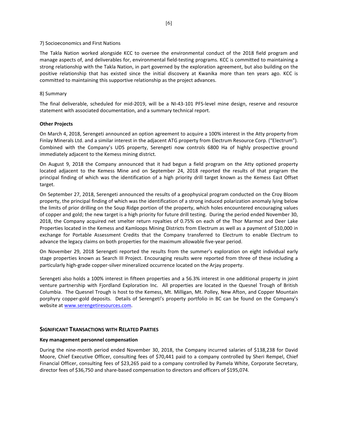#### 7) Socioeconomics and First Nations

The Takla Nation worked alongside KCC to oversee the environmental conduct of the 2018 field program and manage aspects of, and deliverables for, environmental field-testing programs. KCC is committed to maintaining a strong relationship with the Takla Nation, in part governed by the exploration agreement, but also building on the positive relationship that has existed since the initial discovery at Kwanika more than ten years ago. KCC is committed to maintaining this supportive relationship as the project advances.

### 8) Summary

The final deliverable, scheduled for mid-2019, will be a NI-43-101 PFS-level mine design, reserve and resource statement with associated documentation, and a summary technical report.

#### **Other Projects**

On March 4, 2018, Serengeti announced an option agreement to acquire a 100% interest in the Atty property from Finlay Minerals Ltd. and a similar interest in the adjacent ATG property from Electrum Resource Corp. ("Electrum"). Combined with the Company's UDS property, Serengeti now controls 6800 Ha of highly prospective ground immediately adjacent to the Kemess mining district.

On August 9, 2018 the Company announced that it had begun a field program on the Atty optioned property located adjacent to the Kemess Mine and on September 24, 2018 reported the results of that program the principal finding of which was the identification of a high priority drill target known as the Kemess East Offset target.

On September 27, 2018, Serengeti announced the results of a geophysical program conducted on the Croy Bloom property, the principal finding of which was the identification of a strong induced polarization anomaly lying below the limits of prior drilling on the Soup Ridge portion of the property, which holes encountered encouraging values of copper and gold; the new target is a high priority for future drill testing. During the period ended November 30, 2018, the Company acquired net smelter return royalties of 0.75% on each of the Thor Marmot and Deer Lake Properties located in the Kemess and Kamloops Mining Districts from Electrum as well as a payment of \$10,000 in exchange for Portable Assessment Credits that the Company transferred to Electrum to enable Electrum to advance the legacy claims on both properties for the maximum allowable five-year period.

On November 29, 2018 Serengeti reported the results from the summer's exploration on eight individual early stage properties known as Search III Project. Encouraging results were reported from three of these including a particularly high-grade copper-silver mineralized occurrence located on the Arjay property.

Serengeti also holds a 100% interest in fifteen properties and a 56.3% interest in one additional property in joint venture partnership with Fjordland Exploration Inc. All properties are located in the Quesnel Trough of British Columbia. The Quesnel Trough is host to the Kemess, Mt. Milligan, Mt. Polley, New Afton, and Copper Mountain porphyry copper-gold deposits. Details of Serengeti's property portfolio in BC can be found on the Company's website at www.serengetiresources.com.

### **SIGNIFICANT TRANSACTIONS WITH RELATED PARTIES**

### **Key management personnel compensation**

During the nine-month period ended November 30, 2018, the Company incurred salaries of \$138,238 for David Moore, Chief Executive Officer, consulting fees of \$70,441 paid to a company controlled by Sheri Rempel, Chief Financial Officer, consulting fees of \$23,265 paid to a company controlled by Pamela White, Corporate Secretary, director fees of \$36,750 and share-based compensation to directors and officers of \$195,074.